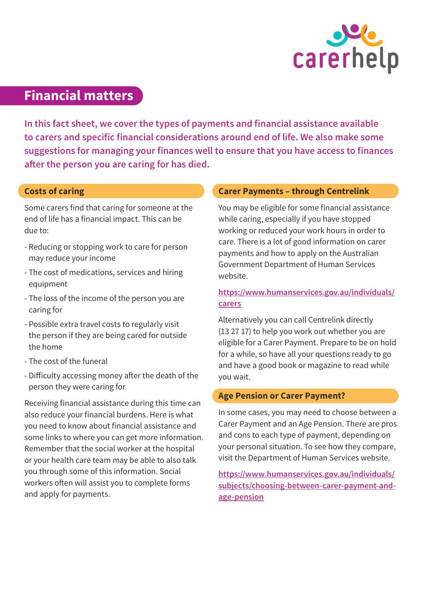

# **Financial matters**

**In this fact sheet, we cover the types of payments and financial assistance available to carers and specific financial considerations around end of life. We also make some suggestions for managing your finances well to ensure that you have access to finances after the person you are caring for has died.**

#### **Costs of caring**

Some carers find that caring for someone at the end of life has a financial impact. This can be due to:

- Reducing or stopping work to care for person may reduce your income
- The cost of medications, services and hiring equipment
- The loss of the income of the person you are caring for
- Possible extra travel costs to regularly visit the person if they are being cared for outside the home
- The cost of the funeral
- Difficulty accessing money after the death of the person they were caring for

Receiving financial assistance during this time can also reduce your financial burdens. Here is what you need to know about financial assistance and some links to where you can get more information. Remember that the social worker at the hospital or your health care team may be able to also talk you through some of this information. Social workers often will assist you to complete forms and apply for payments.

### **Carer Payments – through Centrelink**

You may be eligible for some financial assistance while caring, especially if you have stopped working or reduced your work hours in order to care. There is a lot of good information on carer payments and how to apply on the Australian Government Department of Human Services website.

## **[https://www.humanservices.gov.au/individuals/](https://www.humanservices.gov.au/individuals/carers) [carers](https://www.humanservices.gov.au/individuals/carers)**

Alternatively you can call Centrelink directly (13 27 17) to help you work out whether you are eligible for a Carer Payment. Prepare to be on hold for a while, so have all your questions ready to go and have a good book or magazine to read while you wait.

## **Age Pension or Carer Payment?**

In some cases, you may need to choose between a Carer Payment and an Age Pension. There are pros and cons to each type of payment, depending on your personal situation. To see how they compare, visit the Department of Human Services website.

**[https://www.humanservices.gov.au/individuals/](https://www.humanservices.gov.au/individuals/subjects/choosing-between-carer-payment-and-age-pension) [subjects/choosing-between-carer-payment-and](https://www.humanservices.gov.au/individuals/subjects/choosing-between-carer-payment-and-age-pension)[age-pension](https://www.humanservices.gov.au/individuals/subjects/choosing-between-carer-payment-and-age-pension)**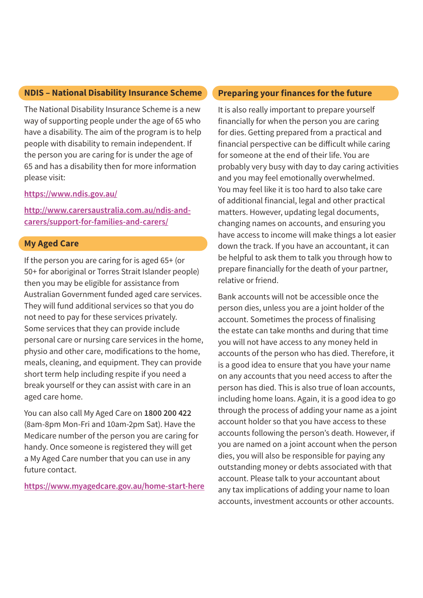#### **NDIS – National Disability Insurance Scheme**

The National Disability Insurance Scheme is a new way of supporting people under the age of 65 who have a disability. The aim of the program is to help people with disability to remain independent. If the person you are caring for is under the age of 65 and has a disability then for more information please visit:

#### **<https://www.ndis.gov.au/>**

**[http://www.carersaustralia.com.au/ndis-and](http://www.carersaustralia.com.au/ndis-and-carers/support-for-families-and-carers/)[carers/support-for-families-and-carers/](http://www.carersaustralia.com.au/ndis-and-carers/support-for-families-and-carers/)**

#### **My Aged Care**

If the person you are caring for is aged 65+ (or 50+ for aboriginal or Torres Strait Islander people) then you may be eligible for assistance from Australian Government funded aged care services. They will fund additional services so that you do not need to pay for these services privately. Some services that they can provide include personal care or nursing care services in the home, physio and other care, modifications to the home, meals, cleaning, and equipment. They can provide short term help including respite if you need a break yourself or they can assist with care in an aged care home.

You can also call My Aged Care on **1800 200 422** (8am-8pm Mon-Fri and 10am-2pm Sat). Have the Medicare number of the person you are caring for handy. Once someone is registered they will get a My Aged Care number that you can use in any future contact.

**<https://www.myagedcare.gov.au/home-start-here>**

## **Preparing your finances for the future**

It is also really important to prepare yourself financially for when the person you are caring for dies. Getting prepared from a practical and financial perspective can be difficult while caring for someone at the end of their life. You are probably very busy with day to day caring activities and you may feel emotionally overwhelmed. You may feel like it is too hard to also take care of additional financial, legal and other practical matters. However, updating legal documents, changing names on accounts, and ensuring you have access to income will make things a lot easier down the track. If you have an accountant, it can be helpful to ask them to talk you through how to prepare financially for the death of your partner, relative or friend.

Bank accounts will not be accessible once the person dies, unless you are a joint holder of the account. Sometimes the process of finalising the estate can take months and during that time you will not have access to any money held in accounts of the person who has died. Therefore, it is a good idea to ensure that you have your name on any accounts that you need access to after the person has died. This is also true of loan accounts, including home loans. Again, it is a good idea to go through the process of adding your name as a joint account holder so that you have access to these accounts following the person's death. However, if you are named on a joint account when the person dies, you will also be responsible for paying any outstanding money or debts associated with that account. Please talk to your accountant about any tax implications of adding your name to loan accounts, investment accounts or other accounts.